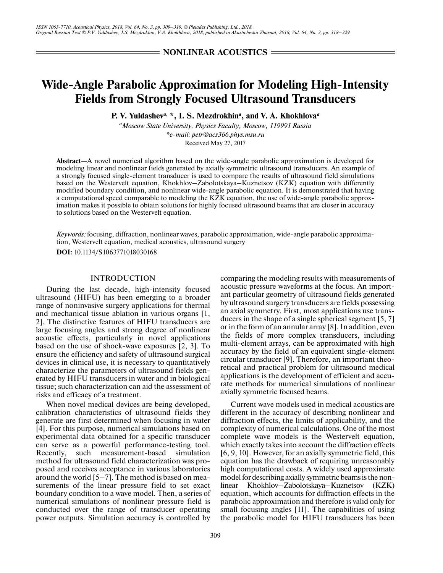**NONLINEAR ACOUSTICS =** 

# **Wide-Angle Parabolic Approximation for Modeling High-Intensity Fields from Strongly Focused Ultrasound Transducers**

**P. V. Yuldashev***a***, \*, I. S. Mezdrokhin***<sup>a</sup>* **, and V. A. Khokhlova***<sup>a</sup>*

*aMoscow State University, Physics Faculty, Moscow, 119991 Russia \*e-mail: petr@acs366.phys.msu.ru* Received May 27, 2017

**Abstract**—A novel numerical algorithm based on the wide-angle parabolic approximation is developed for modeling linear and nonlinear fields generated by axially symmetric ultrasound transducers. An example of a strongly focused single-element transducer is used to compare the results of ultrasound field simulations based on the Westervelt equation, Khokhlov–Zabolotskaya–Kuznetsov (KZK) equation with differently modified boundary condition, and nonlinear wide-angle parabolic equation. It is demonstrated that having a computational speed comparable to modeling the KZK equation, the use of wide-angle parabolic approximation makes it possible to obtain solutions for highly focused ultrasound beams that are closer in accuracy to solutions based on the Westervelt equation.

*Keywords:* focusing, diffraction, nonlinear waves, parabolic approximation, wide-angle parabolic approximation, Westervelt equation, medical acoustics, ultrasound surgery

**DOI:** 10.1134/S1063771018030168

## INTRODUCTION

During the last decade, high-intensity focused ultrasound (HIFU) has been emerging to a broader range of noninvasive surgery applications for thermal and mechanical tissue ablation in various organs [1, 2]. The distinctive features of HIFU transducers are large focusing angles and strong degree of nonlinear acoustic effects, particularly in novel applications based on the use of shock-wave exposures [2, 3]. To ensure the efficiency and safety of ultrasound surgical devices in clinical use, it is necessary to quantitatively characterize the parameters of ultrasound fields generated by HIFU transducers in water and in biological tissue; such characterization can aid the assessment of risks and efficacy of a treatment.

When novel medical devices are being developed, calibration characteristics of ultrasound fields they generate are first determined when focusing in water [4]. For this purpose, numerical simulations based on experimental data obtained for a specific transducer can serve as a powerful performance-testing tool. Recently, such measurement-based simulation method for ultrasound field characterization was proposed and receives acceptance in various laboratories around the world [5–7]. The method is based on measurements of the linear pressure field to set exact boundary condition to a wave model. Then, a series of numerical simulations of nonlinear pressure field is conducted over the range of transducer operating power outputs. Simulation accuracy is controlled by

comparing the modeling results with measurements of acoustic pressure waveforms at the focus. An important particular geometry of ultrasound fields generated by ultrasound surgery transducers are fields possessing an axial symmetry. First, most applications use transducers in the shape of a single spherical segment [5, 7] or in the form of an annular array [8]. In addition, even the fields of more complex transducers, including multi-element arrays, can be approximated with high accuracy by the field of an equivalent single-element circular transducer [9]. Therefore, an important theoretical and practical problem for ultrasound medical applications is the development of efficient and accurate methods for numerical simulations of nonlinear axially symmetric focused beams.

Current wave models used in medical acoustics are different in the accuracy of describing nonlinear and diffraction effects, the limits of applicability, and the complexity of numerical calculations. One of the most complete wave models is the Westervelt equation, which exactly takes into account the diffraction effects [6, 9, 10]. However, for an axially symmetric field, this equation has the drawback of requiring unreasonably high computational costs. A widely used approximate model for describing axially symmetric beams is the nonlinear Khokhlov–Zabolotskaya–Kuznetsov (KZK) equation, which accounts for diffraction effects in the parabolic approximation and therefore is valid only for small focusing angles [11]. The capabilities of using the parabolic model for HIFU transducers has been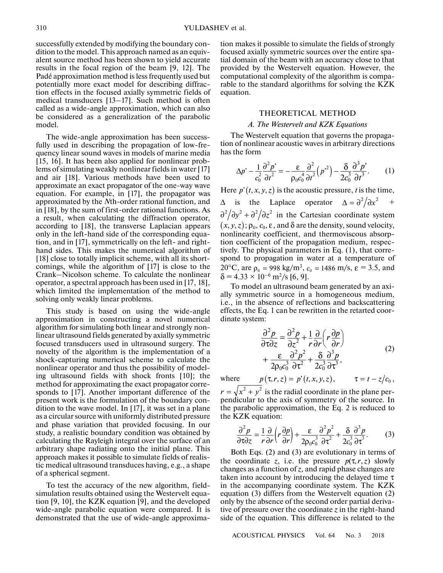successfully extended by modifying the boundary condition to the model. This approach named as an equivalent source method has been shown to yield accurate results in the focal region of the beam [9, 12]. The Padé approximation method is less frequently used but potentially more exact model for describing diffraction effects in the focused axially symmetric fields of medical transducers [13–17]. Such method is often called as a wide-angle approximation, which can also be considered as a generalization of the parabolic model.

The wide-angle approximation has been successfully used in describing the propagation of low-frequency linear sound waves in models of marine media [15, 16]. It has been also applied for nonlinear problems of simulating weakly nonlinear fields in water [17] and air [18]. Various methods have been used to approximate an exact propagator of the one-way wave equation. For example, in [17], the propagator was approximated by the *N*th-order rational function, and in [18], by the sum of first-order rational functions. As a result, when calculating the diffraction operator, according to [18], the transverse Laplacian appears only in the left-hand side of the corresponding equation, and in [17], symmetrically on the left- and righthand sides. This makes the numerical algorithm of [18] close to totally implicit scheme, with all its shortcomings, while the algorithm of [17] is close to the Crank–Nicolson scheme. To calculate the nonlinear operator, a spectral approach has been used in [17, 18], which limited the implementation of the method to solving only weakly linear problems.

This study is based on using the wide-angle approximation in constructing a novel numerical algorithm for simulating both linear and strongly nonlinear ultrasound fields generated by axially symmetric focused transducers used in ultrasound surgery. The novelty of the algorithm is the implementation of a shock-capturing numerical scheme to calculate the nonlinear operator and thus the possibility of modeling ultrasound fields with shock fronts [10]; the method for approximating the exact propagator corresponds to [17]. Another important difference of the present work is the formulation of the boundary condition to the wave model. In [17], it was set in a plane as a circular source with uniformly distributed pressure and phase variation that provided focusing. In our study, a realistic boundary condition was obtained by calculating the Rayleigh integral over the surface of an arbitrary shape radiating onto the initial plane. This approach makes it possible to simulate fields of realistic medical ultrasound transduces having, e.g., a shape of a spherical segment.

To test the accuracy of the new algorithm, fieldsimulation results obtained using the Westervelt equation [9, 10], the KZK equation [9], and the developed wide-angle parabolic equation were compared. It is demonstrated that the use of wide-angle approximation makes it possible to simulate the fields of strongly focused axially symmetric sources over the entire spatial domain of the beam with an accuracy close to that provided by the Westervelt equation. However, the computational complexity of the algorithm is comparable to the standard algorithms for solving the KZK equation.

## THEORETICAL METHOD

### *А. The Westervelt and KZK Equations*

The Westervelt equation that governs the propagation of nonlinear acoustic waves in arbitrary directions has the form

$$
\Delta p' - \frac{1}{c_0^2} \frac{\partial^2 p'}{\partial t^2} = -\frac{\varepsilon}{\rho_0 c_0^4} \frac{\partial^2}{\partial t^2} (p^2) - \frac{\delta}{2c_0^3} \frac{\partial^3 p'}{\partial t^3}.
$$
 (1)

Here  $p'(t, x, y, z)$  is the acoustic pressure, *t* is the time,

 $\Delta$  is the Laplace operator  $\Delta = \frac{\partial^2}{\partial x^2}$  +  $\partial^2/\partial y^2 + \partial^2/\partial z^2$  in the Cartesian coordinate system  $(x, y, z)$ ;  $\rho_0, c_0, \varepsilon$ , and  $\delta$  are the density, sound velocity, nonlinearity coefficient, and thermoviscous absorption coefficient of the propagation medium, respectively. The physical parameters in Eq. (1), that correspond to propagation in water at a temperature of 20°C, are  $p_0 = 998 \text{ kg/m}^3$ ,  $c_0 = 1486 \text{ m/s}$ ,  $\varepsilon = 3.5$ , and  $= 4.33 \times 10^{-6}$  m<sup>2</sup>/s [6, 9].  $\rho_0 = 998 \text{ kg/m}^3$ ,  $c_0 = 1486 \text{ m/s}$ , ε δ

To model an ultrasound beam generated by an axially symmetric source in a homogeneous medium, i.e., in the absence of reflections and backscattering effects, the Eq. 1 can be rewritten in the retarted coordinate system:

$$
\frac{\partial^2 p}{\partial \tau \partial z} = \frac{\partial^2 p}{\partial z^2} + \frac{1}{r} \frac{\partial}{\partial r} \left( r \frac{\partial p}{\partial r} \right) \n+ \frac{\varepsilon}{2 \rho_0 c_0^3} \frac{\partial^2 p^2}{\partial \tau^2} + \frac{\delta}{2 c_0^3} \frac{\partial^3 p}{\partial \tau^3},
$$
\n(2)

where  $p(\tau, r, z) = p'(t, x, y, z), \qquad \tau = t - z/c_0,$  $r = \sqrt{x^2 + y^2}$  is the radial coordinate in the plane per-

pendicular to the axis of symmetry of the source. In the parabolic approximation, the Eq. 2 is reduced to the KZK equation:

$$
\frac{\partial^2 p}{\partial \tau \partial z} = \frac{1}{r} \frac{\partial}{\partial r} \left( r \frac{\partial p}{\partial r} \right) + \frac{\varepsilon}{2 \rho_0 c_0^3} \frac{\partial^2 p^2}{\partial \tau^2} + \frac{\delta}{2 c_0^3} \frac{\partial^3 p}{\partial \tau^3}.
$$
 (3)

Both Eqs. (2) and (3) are evolutionary in terms of the coordinate *z*, i.e. the pressure  $p(\tau, r, z)$  slowly changes as a function of *z*, and rapid phase changes are taken into account by introducing the delayed time  $\tau$ in the accompanying coordinate system. The KZK equation (3) differs from the Westervelt equation (2) only by the absence of the second order partial derivative of pressure over the coordinate *z* in the right-hand side of the equation. This difference is related to the

ACOUSTICAL PHYSICS Vol. 64 No. 3 2018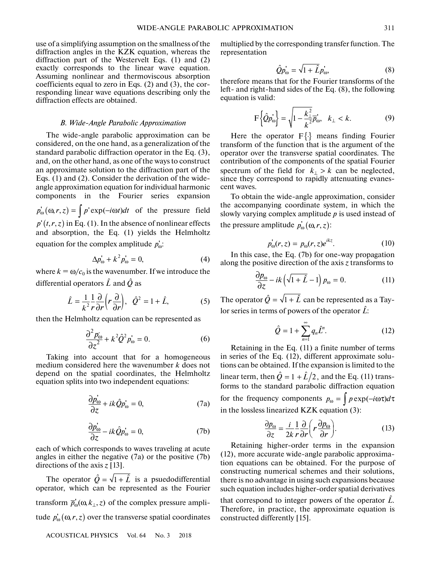use of a simplifying assumption on the smallness of the diffraction angles in the KZK equation, whereas the diffraction part of the Westervelt Eqs. (1) and (2) exactly corresponds to the linear wave equation. Assuming nonlinear and thermoviscous absorption coefficients equal to zero in Eqs. (2) and (3), the corresponding linear wave equations describing only the diffraction effects are obtained.

## *B. Wide-Angle Parabolic Approximation*

The wide-angle parabolic approximation can be considered, on the one hand, as a generalization of the standard parabolic diffraction operator in the Eq. (3), and, on the other hand, as one of the ways to construct an approximate solution to the diffraction part of the Eqs. (1) and (2). Consider the derivation of the wideangle approximation equation for individual harmonic components in the Fourier series expansion  $p_{\omega}^{'}(\omega, r, z) = \int p' \exp(-i\omega t) dt$  of the pressure field  $p'(t,r,z)$  in Eq. (1). In the absence of nonlinear effects and absorption, the Eq. (1) yields the Helmholtz equation for the complex amplitude  $p'_\omega$ :

$$
\Delta p'_{\omega} + k^2 p'_{\omega} = 0, \tag{4}
$$

where  $k = \omega/c_0$  is the wavenumber. If we introduce the differential operators  $\hat{L}$  and  $\hat{Q}$  as

$$
\hat{L} = \frac{1}{k^2} \frac{1}{r} \frac{\partial}{\partial r} \left( r \frac{\partial}{\partial r} \right), \quad \hat{Q}^2 = 1 + \hat{L}, \tag{5}
$$

then the Helmholtz equation can be represented as

$$
\frac{\partial^2 p_{\omega}}{\partial z^2} + k^2 \hat{Q}^2 p_{\omega} = 0.
$$
 (6)

Taking into account that for a homogeneous medium considered here the wavenumber *k* does not depend on the spatial coordinates, the Helmholtz equation splits into two independent equations:

$$
\frac{\partial p_{\omega}'}{\partial z} + ik \hat{Q} p_{\omega} = 0, \qquad (7a)
$$

$$
\frac{\partial p_{\omega}'}{\partial z} - ik \hat{Q} p_{\omega} = 0, \qquad (7b)
$$

each of which corresponds to waves traveling at acute angles in either the negative (7a) or the positive (7b) directions of the axis  $z$  [13].

The operator  $\hat{Q} = \sqrt{1 + \hat{L}}$  is a psuedodifferential operator, which can be represented as the Fourier transform  $\overline{p}'_{\omega}(\omega, k_{\perp}, z)$  of the complex pressure amplitude  $p_{\omega}^{\prime}(\omega,r,z)$  over the transverse spatial coordinates

ACOUSTICAL PHYSICS Vol. 64 No. 3 2018

multiplied by the corresponding transfer function. The representation

$$
\hat{Q}p_{\omega}^{\dagger} = \sqrt{1 + \hat{L}}p_{\omega}^{\dagger},\tag{8}
$$

therefore means that for the Fourier transforms of the left- and right-hand sides of the Eq. (8), the following equation is valid:

$$
F\left\{\hat{Q}p_{\omega}^{'}\right\} = \sqrt{1 - \frac{k_{\perp}^{2}}{k^{2}}}\vec{p_{\omega}}, \quad k_{\perp} < k. \tag{9}
$$

Here the operator  $F\{\cdot\}$  means finding Fourier transform of the function that is the argument of the operator over the transverse spatial coordinates. The contribution of the components of the spatial Fourier spectrum of the field for  $k_{\perp} > k$  can be neglected, since they correspond to rapidly attenuating evanescent waves.

To obtain the wide-angle approximation, consider the accompanying coordinate system, in which the slowly varying complex amplitude *p* is used instead of the pressure amplitude  $p'_\omega(\omega, r, z)$ :

$$
p'_{\omega}(r,z) = p_{\omega}(r,z)e^{ikz}.
$$
 (10)

In this case, the Eq. (7b) for one-way propagation along the positive direction of the axis *z* transforms to

$$
\frac{\partial p_{\omega}}{\partial z} - ik \left( \sqrt{1 + \hat{L}} - 1 \right) p_{\omega} = 0. \tag{11}
$$

The operator  $\hat{Q} = \sqrt{1 + \hat{L}}$  can be represented as a Taylor series in terms of powers of the operator  $\hat{L}$ :

$$
\hat{Q} = 1 + \sum_{n=1}^{\infty} q_n \hat{L}^n.
$$
 (12)

Retaining in the Eq. (11) a finite number of terms in series of the Eq. (12), different approximate solutions can be obtained. If the expansion is limited to the linear term, then  $\hat{Q} = 1 + \hat{L}/2$ , and the Eq. (11) transforms to the standard parabolic diffraction equation for the frequency components  $p_{\omega} = \int p \exp(-i\omega \tau) d\tau$ in the lossless linearized KZK equation (3):

$$
\frac{\partial p_{\omega}}{\partial z} = \frac{i}{2k} \frac{1}{r} \frac{\partial}{\partial r} \left( r \frac{\partial p_{\omega}}{\partial r} \right).
$$
 (13)

Retaining higher-order terms in the expansion (12), more accurate wide-angle parabolic approximation equations can be obtained. For the purpose of constructing numerical schemes and their solutions, there is no advantage in using such expansions because such equation includes higher-order spatial derivatives

that correspond to integer powers of the operator  $\hat{L}$ . Therefore, in practice, the approximate equation is constructed differently [15].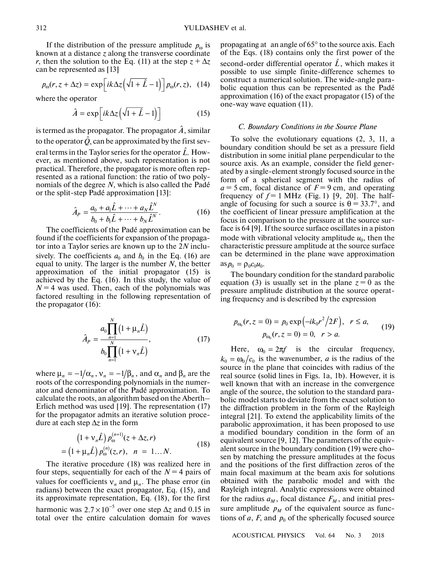If the distribution of the pressure amplitude  $p_{\omega}$  is known at a distance *z* along the transverse coordinate *r*, then the solution to the Eq. (11) at the step  $z + \Delta z$ can be represented as [13]

$$
p_{\omega}(r, z + \Delta z) = \exp\left[ik\Delta z \left(\sqrt{1 + \hat{L}} - 1\right)\right] p_{\omega}(r, z), \quad (14)
$$

where the operator

$$
\hat{A} = \exp\left[ik\Delta z \left(\sqrt{1+\hat{L}}-1\right)\right]
$$
 (15)

is termed as the propagator. The propagator  $\hat{A}$  , similar to the operator  $\hat{Q}$ , can be approximated by the first several terms in the Taylor series for the operator  $\hat{L}$ . However, as mentioned above, such representation is not practical. Therefore, the propagator is more often represented as a rational function: the ratio of two polynomials of the degree *N*, which is also called the Padé or the split-step Padé approximation [13]: -

$$
\hat{A}_P = \frac{a_0 + a_1 \hat{L} + \dots + a_N \hat{L}^N}{b_0 + b_1 \hat{L} + \dots + b_N \hat{L}^N}.
$$
 (16)

The coefficients of the Padé approximation can be found if the coefficients for expansion of the propagator into a Taylor series are known up to the 2*N* inclusively. The coefficients  $a_0$  and  $b_0$  in the Eq. (16) are equal to unity. The larger is the number *N*, the better approximation of the initial propagator (15) is achieved by the Eq. (16). In this study, the value of  $N = 4$  was used. Then, each of the polynomials was factored resulting in the following representation of the propagator (16):

$$
\hat{A}_P = \frac{a_0 \prod_{n=1}^{N} (1 + \mu_n \hat{L})}{b_0 \prod_{n=1}^{N} (1 + \nu_n \hat{L})},
$$
(17)

where  $\mu_n = -1/\alpha_n$ ,  $v_n = -1/\beta_n$ , and  $\alpha_n$  and  $\beta_n$  are the roots of the corresponding polynomials in the numerator and denominator of the Padé approximation. To calculate the roots, an algorithm based on the Aberth– Erlich method was used [19]. The representation (17) for the propagator admits an iterative solution procedure at each step Δ*z* in the form

$$
(1 + \nu_n \hat{L}) p_0^{(n+1)}(z + \Delta z, r)
$$
  
=  $(1 + \mu_n \hat{L}) p_0^{(n)}(z, r), \quad n = 1...N.$  (18)

The iterative procedure (18) was realized here in four steps, sequentially for each of the  $N = 4$  pairs of values for coefficients  $v_n$  and  $\mu_n$ . The phase error (in radians) between the exact propagator, Eq. (15), and its approximate representation, Eq. (18), for the first harmonic was  $2.7 \times 10^{-5}$  over one step  $\Delta z$  and 0.15 in total over the entire calculation domain for waves

propagating at an angle of  $65^{\circ}$  to the source axis. Each of the Eqs. (18) contains only the first power of the second-order differential operator  $\hat{L}$ , which makes it possible to use simple finite-difference schemes to construct a numerical solution. The wide-angle parabolic equation thus can be represented as the Padé approximation (16) of the exact propagator (15) of the one-way wave equation (11).

# *C. Boundary Conditions in the Source Plane*

To solve the evolutionary equations (2, 3, 11, a boundary condition should be set as a pressure field distribution in some initial plane perpendicular to the source axis. As an example, consider the field generated by a single-element strongly focused source in the form of a spherical segment with the radius of  $a = 5$  cm, focal distance of  $F = 9$  cm, and operating frequency of  $f = 1$  MHz (Fig. 1) [9, 20]. The halfangle of focusing for such a source is  $\theta = 33.7^{\circ}$ , and the coefficient of linear pressure amplification at the focus in comparison to the pressure at the source surface is 64 [9]. If the source surface oscillates in a piston mode with vibrational velocity amplitude  $u_0$ , then the characteristic pressure amplitude at the source surface can be determined in the plane wave approximation  $\text{as } p_0 = \rho_0 c_0 u_0.$ 

The boundary condition for the standard parabolic equation (3) is usually set in the plane  $z = 0$  as the pressure amplitude distribution at the source operating frequency and is described by the expression

$$
p_{\omega_0}(r, z = 0) = p_0 \exp(-ik_0 r^2 / 2F), \quad r \le a,
$$
  
\n
$$
p_{\omega_0}(r, z = 0) = 0, \quad r > a.
$$
\n(19)

Here,  $\omega_0 = 2\pi f$  is the circular frequency,  $k_0 = \omega_0/c_0$  is the wavenumber, *a* is the radius of the source in the plane that coincides with radius of the real source (solid lines in Figs. 1a, 1b). However, it is well known that with an increase in the convergence angle of the source, the solution to the standard parabolic model starts to deviate from the exact solution to the diffraction problem in the form of the Rayleigh integral [21]. To extend the applicability limits of the parabolic approximation, it has been proposed to use a modified boundary condition in the form of an equivalent source [9, 12]. The parameters of the equivalent source in the boundary condition (19) were chosen by matching the pressure amplitudes at the focus and the positions of the first diffraction zeros of the main focal maximum at the beam axis for solutions obtained with the parabolic model and with the Rayleigh integral. Analytic expressions were obtained for the radius  $a_M$ , focal distance  $F_M$ , and initial pressure amplitude  $p_M$  of the equivalent source as functions of  $a$ ,  $F$ , and  $p_0$  of the spherically focused source

ACOUSTICAL PHYSICS Vol. 64 No. 3 2018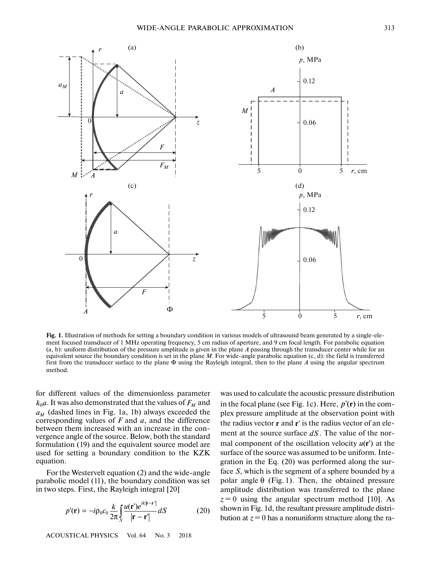

**Fig. 1.** Illustration of methods for setting a boundary condition in various models of ultrasound beam generated by a single-element focused transducer of 1 MHz operating frequency, 5 cm radius of aperture, and 9 cm focal length. For parabolic equation (a, b): uniform distribution of the pressure amplitude is given in the plane *A* passing through the transducer center while for an equivalent source the boundary condition is set in the plane *M*. For wide-angle parabolic equation (c, d): the field is transferred first from the transducer surface to the plane Φ using the Rayleigh integral, then to the plane *A* using the angular spectrum method.

for different values of the dimensionless parameter  $k_0 a$ . It was also demonstrated that the values of  $F_M$  and  $a_M$  (dashed lines in Fig. 1a, 1b) always exceeded the corresponding values of *F* and *a*, and the difference between them increased with an increase in the convergence angle of the source. Below, both the standard formulation (19) and the equivalent source model are used for setting a boundary condition to the KZK equation.

For the Westervelt equation (2) and the wide-angle parabolic model (11), the boundary condition was set in two steps. First, the Rayleigh integral [20]

$$
p'(\mathbf{r}) = -i\rho_0 c_0 \frac{k}{2\pi} \int_S \frac{u(\mathbf{r}')e^{ik|\mathbf{r}-\mathbf{r}'|}}{|\mathbf{r}-\mathbf{r}'|} dS \tag{20}
$$

ACOUSTICAL PHYSICS Vol. 64 No. 3 2018

was used to calculate the acoustic pressure distribution in the focal plane (see Fig. 1c). Here,  $p'(\mathbf{r})$  in the complex pressure amplitude at the observation point with the radius vector **r** and **r**' is the radius vector of an element at the source surface  $dS$ . The value of the normal component of the oscillation velocity  $u(\mathbf{r}')$  at the surface of the source was assumed to be uniform. Integration in the Eq. (20) was performed along the surface *S*, which is the segment of a sphere bounded by a polar angle  $\theta$  (Fig. 1). Then, the obtained pressure amplitude distribution was transferred to the plane  $z = 0$  using the angular spectrum method [10]. As shown in Fig. 1d, the resultant pressure amplitude distribution at  $z = 0$  has a nonuniform structure along the ra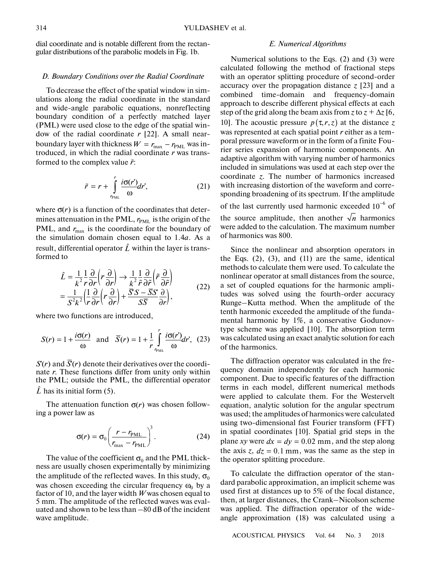dial coordinate and is notable different from the rectangular distributions of the parabolic models in Fig. 1b.

#### *D. Boundary Conditions over the Radial Coordinate*

To decrease the effect of the spatial window in simulations along the radial coordinate in the standard and wide-angle parabolic equations, nonreflecting boundary condition of a perfectly matched layer (PML) were used close to the edge of the spatial window of the radial coordinate *r* [22]. A small nearboundary layer with thickness  $W = r_{\text{max}} - r_{\text{PML}}$  was introduced, in which the radial coordinate *r* was transformed to the complex value  $\tilde{r}$ :  $r^2$  e s 1  $\tilde{r}$ with thickness<br>
ich the radial<br>
omplex value  $\hat{i}$ <br>  $\tilde{r} = r + \int_{r_0}^{r} \frac{i\sigma(r)}{\omega}$ 

$$
\tilde{r} = r + \int_{r_{\text{PML}}}^{r} \frac{i\sigma(r')}{\omega} dr',\tag{21}
$$

where  $\sigma(r)$  is a function of the coordinates that determines attenuation in the PML,  $r_{\text{PML}}$  is the origin of the PML, and  $r_{\text{max}}$  is the coordinate for the boundary of the simulation domain chosen equal to 1.4*a*. As a<br>result, differential operator  $\hat{L}$  within the layer is trans-<br>formed to<br> $\hat{L} = \frac{1}{2} \frac{1}{2} \frac{\partial}{\partial r} \left(r \frac{\partial}{\partial r}\right) \rightarrow \frac{1}{2} \frac{1}{2} \frac{\partial}{\partial r} \left(\tilde{r} \frac{\partial}{\partial r}\right)$ result, differential operator  $\hat{L}$  within the layer is transformed to  $\frac{1}{2}$ 

$$
\hat{L} = \frac{1}{k^2} \frac{1}{r} \frac{\partial}{\partial r} \left( r \frac{\partial}{\partial r} \right) \rightarrow \frac{1}{k^2} \frac{1}{r} \frac{\partial}{\partial \tilde{r}} \left( \tilde{r} \frac{\partial}{\partial \tilde{r}} \right)
$$
\n
$$
= \frac{1}{S^2 k^2} \left( \frac{1}{r} \frac{\partial}{\partial r} \left( r \frac{\partial}{\partial r} \right) + \frac{\overline{S} S - \overline{S} S}{S \overline{S}} \frac{\partial}{\partial r} \right),
$$
\n(22)

where two functions are introduced,

$$
S(r) = 1 + \frac{i\sigma(r)}{\omega} \text{ and } \overline{S}(r) = 1 + \frac{1}{r} \int_{r_{\text{PML}}}^{r} \frac{i\sigma(r')}{\omega} dr', \tag{23}
$$

 $S(r)$  and  $\overline{S}(r)$  denote their derivatives over the coordinate *r*. These functions differ from unity only within the PML; outside the PML, the differential operator  $\hat{L}$  has its initial form (5).

The attenuation function  $\sigma(r)$  was chosen following a power law as

$$
\sigma(r) = \sigma_0 \left( \frac{r - r_{\text{PML}}}{r_{\text{max}} - r_{\text{PML}}} \right)^3.
$$
 (24)

The value of the coefficient  $\sigma_0$  and the PML thickness are usually chosen experimentally by minimizing the amplitude of the reflected waves. In this study,  $\sigma_0$ was chosen exceeding the circular frequency  $\omega_0$  by a factor of 10, and the layer width *W* was chosen equal to 5 mm. The amplitude of the reflected waves was evaluated and shown to be less than –80 dB of the incident wave amplitude.

#### *E. Numerical Algorithms*

Numerical solutions to the Eqs. (2) and (3) were calculated following the method of fractional steps with an operator splitting procedure of second-order accuracy over the propagation distance  $\zeta$  [23] and a combined time-domain and frequency-domain approach to describe different physical effects at each step of the grid along the beam axis from *z* to  $z + \Delta z$  [6, 10]. The acoustic pressure  $p(\tau, r, z)$  at the distance z was represented at each spatial point *r* either as a temporal pressure waveform or in the form of a finite Fourier series expansion of harmonic components. An adaptive algorithm with varying number of harmonics included in simulations was used at each step over the coordinate *z*. The number of harmonics increased with increasing distortion of the waveform and corresponding broadening of its spectrum. If the amplitude of the last currently used harmonic exceeded  $10^{-6}$  of

the source amplitude, then another  $\sqrt{n}$  harmonics were added to the calculation. The maximum number of harmonics was 800.

Since the nonlinear and absorption operators in the Eqs.  $(2)$ ,  $(3)$ , and  $(11)$  are the same, identical methods to calculate them were used. To calculate the nonlinear operator at small distances from the source, a set of coupled equations for the harmonic amplitudes was solved using the fourth-order accuracy Runge–Kutta method. When the amplitude of the tenth harmonic exceeded the amplitude of the fundamental harmonic by 1%, a conservative Godunovtype scheme was applied [10]. The absorption term was calculated using an exact analytic solution for each of the harmonics.

The diffraction operator was calculated in the frequency domain independently for each harmonic component. Due to specific features of the diffraction terms in each model, different numerical methods were applied to calculate them. For the Westervelt equation, analytic solution for the angular spectrum was used; the amplitudes of harmonics were calculated using two-dimensional fast Fourier transform (FFT) in spatial coordinates [10]. Spatial grid steps in the plane *xy* were  $dx = dy = 0.02$  mm, and the step along the axis  $z, dz = 0.1$  mm, was the same as the step in the operator splitting procedure.

To calculate the diffraction operator of the standard parabolic approximation, an implicit scheme was used first at distances up to 5% of the focal distance, then, at larger distances, the Crank–Nicolson scheme was applied. The diffraction operator of the wideangle approximation (18) was calculated using a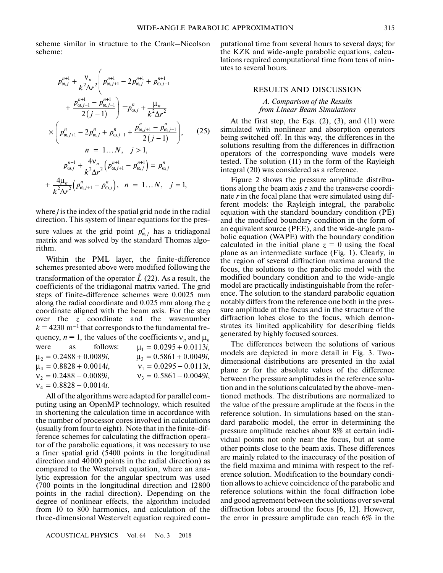scheme similar in structure to the Crank–Nicolson scheme:

$$
p_{\omega,j}^{n+1} + \frac{v_n}{k^2 \Delta r^2} \left( p_{\omega,j+1}^{n+1} - 2 p_{\omega,j}^{n+1} + p_{\omega,j-1}^{n+1} + \frac{p_{\omega,j+1}^{n+1} - p_{\omega,j-1}^{n+1}}{2(j-1)} \right) = p_{\omega,j}^n + \frac{\mu_n}{k^2 \Delta r^2}
$$
  
\n
$$
\times \left( p_{\omega,j+1}^n - 2 p_{\omega,j}^n + p_{\omega,j-1}^n + \frac{p_{\omega,j+1}^n - p_{\omega,j-1}^n}{2(j-1)} \right), \qquad (25)
$$
  
\n
$$
n = 1...N, \quad j > 1,
$$
  
\n
$$
p_{\omega,j}^{n+1} + \frac{4v_n}{k^2 \Delta r^2} \left( p_{\omega,j+1}^{n+1} - p_{\omega,j}^{n+1} \right) = p_{\omega,j}^n
$$
  
\n
$$
+ \frac{4\mu_n}{k^2 \Delta r^2} \left( p_{\omega,j+1}^n - p_{\omega,j}^{n} \right), \qquad n = 1...N, \quad j = 1,
$$

where *j* is the index of the spatial grid node in the radial direction. This system of linear equations for the pressure values at the grid point  $p_{\omega, j}^n$  has a tridiagonal matrix and was solved by the standard Thomas algorithm.

Within the PML layer, the finite-difference schemes presented above were modified following the transformation of the operator  $\hat{L}$  (22). As a result, the coefficients of the tridiagonal matrix varied. The grid steps of finite-difference schemes were 0.0025 mm along the radial coordinate and 0.025 mm along the *z* coordinate aligned with the beam axis. For the step over the *z* coordinate and the wavenumber  $k = 4230$  m<sup>-1</sup> that corresponds to the fundamental frequency,  $n = 1$ , the values of the coefficients  $v_n$  and  $\mu_n$ were as follows:  $\mu_1 = 0.0295 + 0.0113i,$  $\mu_2 = 0.2488 + 0.0089i,$ <br>  $\mu_4 = 0.8828 + 0.0014i,$ <br>  $\nu_1 = 0.0295 - 0.0113i,$  $\mu_4 = 0.8828 + 0.0014i,$   $v_1 = 0.0295 - 0.0113i,$  $v_2 = 0.2488 - 0.0089i,$   $v_3 = 0.5861 - 0.0049i,$  $v_4 = 0.8828 - 0.0014i$ .

All of the algorithms were adapted for parallel computing using an OpenMP technology, which resulted in shortening the calculation time in accordance with the number of processor cores involved in calculations (usually from four to eight). Note that in the finite-difference schemes for calculating the diffraction operator of the parabolic equations, it was necessary to use a finer spatial grid (5400 points in the longitudinal direction and 40000 points in the radial direction) as compared to the Westervelt equation, where an analytic expression for the angular spectrum was used (700 points in the longitudinal direction and 12800 points in the radial direction). Depending on the degree of nonlinear effects, the algorithm included from 10 to 800 harmonics, and calculation of the three-dimensional Westervelt equation required com-

ACOUSTICAL PHYSICS Vol. 64 No. 3 2018

putational time from several hours to several days; for the KZK and wide-angle parabolic equations, calculations required computational time from tens of minutes to several hours.

#### RESULTS AND DISCUSSION

#### *А. Comparison of the Results from Linear Beam Simulations*

At the first step, the Eqs.  $(2)$ ,  $(3)$ , and  $(11)$  were simulated with nonlinear and absorption operators being switched off. In this way, the differences in the solutions resulting from the differences in diffraction operators of the corresponding wave models were tested. The solution (11) in the form of the Rayleigh integral (20) was considered as a reference.

Figure 2 shows the pressure amplitude distributions along the beam axis *z* and the transverse coordinate *r* in the focal plane that were simulated using different models: the Rayleigh integral, the parabolic equation with the standard boundary condition (PE) and the modified boundary condition in the form of an equivalent source (PEE), and the wide-angle parabolic equation (WAPE) with the boundary condition calculated in the initial plane  $z = 0$  using the focal plane as an intermediate surface (Fig. 1). Clearly, in the region of several diffraction maxima around the focus, the solutions to the parabolic model with the modified boundary condition and to the wide-angle model are practically indistinguishable from the reference. The solution to the standard parabolic equation notably differs from the reference one both in the pressure amplitude at the focus and in the structure of the diffraction lobes close to the focus, which demonstrates its limited applicability for describing fields generated by highly focused sources.

The differences between the solutions of various models are depicted in more detail in Fig. 3. Twodimensional distributions are presented in the axial plane *zr* for the absolute values of the difference between the pressure amplitudes in the reference solution and in the solutions calculated by the above-mentioned methods. The distributions are normalized to the value of the pressure amplitude at the focus in the reference solution. In simulations based on the standard parabolic model, the error in determining the pressure amplitude reaches about 8% at certain individual points not only near the focus, but at some other points close to the beam axis. These differences are mainly related to the inaccuracy of the position of the field maxima and minima with respect to the reference solution. Modification to the boundary condition allows to achieve coincidence of the parabolic and reference solutions within the focal diffraction lobe and good agreement between the solutions over several diffraction lobes around the focus [6, 12]. However, the error in pressure amplitude can reach 6% in the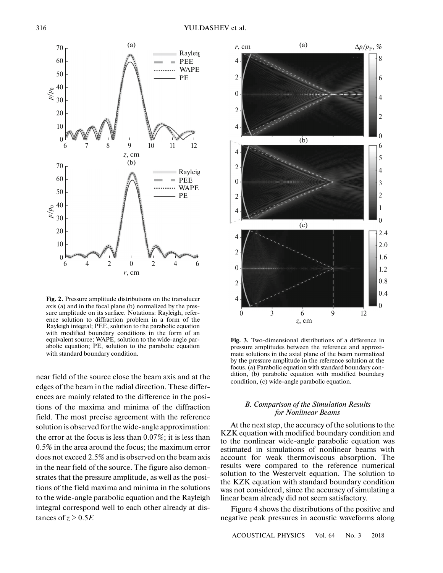

**Fig. 2.** Pressure amplitude distributions on the transducer axis (a) and in the focal plane (b) normalized by the pressure amplitude on its surface. Notations: Rayleigh, reference solution to diffraction problem in a form of the Rayleigh integral; PEE, solution to the parabolic equation with modified boundary conditions in the form of an equivalent source; WAPE, solution to the wide-angle parabolic equation; PE, solution to the parabolic equation with standard boundary condition.

near field of the source close the beam axis and at the edges of the beam in the radial direction. These differences are mainly related to the difference in the positions of the maxima and minima of the diffraction field. The most precise agreement with the reference solution is observed for the wide-angle approximation: the error at the focus is less than 0.07%; it is less than 0.5% in the area around the focus; the maximum error does not exceed 2.5% and is observed on the beam axis in the near field of the source. The figure also demonstrates that the pressure amplitude, as well as the positions of the field maxima and minima in the solutions to the wide-angle parabolic equation and the Rayleigh integral correspond well to each other already at distances of  $z > 0.5F$ .



**Fig. 3.** Two-dimensional distributions of a difference in pressure amplitudes between the reference and approximate solutions in the axial plane of the beam normalized by the pressure amplitude in the reference solution at the focus. (a) Parabolic equation with standard boundary condition, (b) parabolic equation with modified boundary condition, (c) wide-angle parabolic equation.

## *B. Comparison of the Simulation Results for Nonlinear Beams*

At the next step, the accuracy of the solutions to the KZK equation with modified boundary condition and to the nonlinear wide-angle parabolic equation was estimated in simulations of nonlinear beams with account for weak thermoviscous absorption. The results were compared to the reference numerical solution to the Westervelt equation. The solution to the KZK equation with standard boundary condition was not considered, since the accuracy of simulating a linear beam already did not seem satisfactory.

Figure 4 shows the distributions of the positive and negative peak pressures in acoustic waveforms along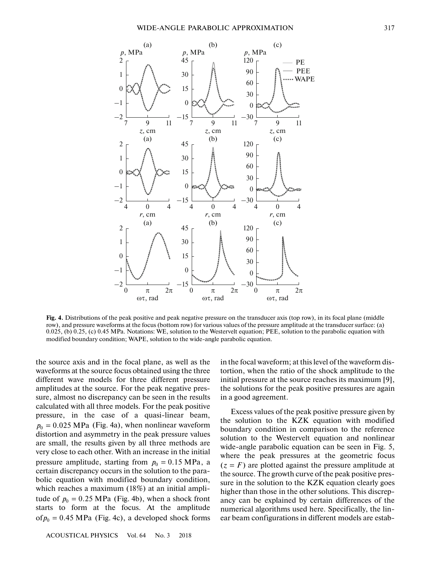

**Fig. 4.** Distributions of the peak positive and peak negative pressure on the transducer axis (top row), in its focal plane (middle row), and pressure waveforms at the focus (bottom row) for various values of the pressure amplitude at the transducer surface: (a) 0.025, (b) 0.25, (c) 0.45 MPa. Notations: WE, solution to the Westervelt equation; PEE, solution to the parabolic equation with modified boundary condition; WAPE, solution to the wide-angle parabolic equation.

the source axis and in the focal plane, as well as the waveforms at the source focus obtained using the three different wave models for three different pressure amplitudes at the source. For the peak negative pressure, almost no discrepancy can be seen in the results calculated with all three models. For the peak positive pressure, in the case of a quasi-linear beam,  $p_0 = 0.025 \text{ MPa}$  (Fig. 4a), when nonlinear waveform distortion and asymmetry in the peak pressure values are small, the results given by all three methods are very close to each other. With an increase in the initial pressure amplitude, starting from  $p_0 = 0.15 \text{ MPa}$ , a certain discrepancy occurs in the solution to the parabolic equation with modified boundary condition, which reaches a maximum (18%) at an initial amplitude of  $p_0 = 0.25 \text{ MPa}$  (Fig. 4b), when a shock front starts to form at the focus. At the amplitude  $of p_0 = 0.45 \text{ MPa}$  (Fig. 4c), a developed shock forms

ACOUSTICAL PHYSICS Vol. 64 No. 3 2018

in the focal waveform; at this level of the waveform distortion, when the ratio of the shock amplitude to the initial pressure at the source reaches its maximum [9], the solutions for the peak positive pressures are again in a good agreement.

Excess values of the peak positive pressure given by the solution to the KZK equation with modified boundary condition in comparison to the reference solution to the Westervelt equation and nonlinear wide-angle parabolic equation can be seen in Fig. 5, where the peak pressures at the geometric focus  $(z = F)$  are plotted against the pressure amplitude at the source. The growth curve of the peak positive pressure in the solution to the KZK equation clearly goes higher than those in the other solutions. This discrepancy can be explained by certain differences of the numerical algorithms used here. Specifically, the linear beam configurations in different models are estab-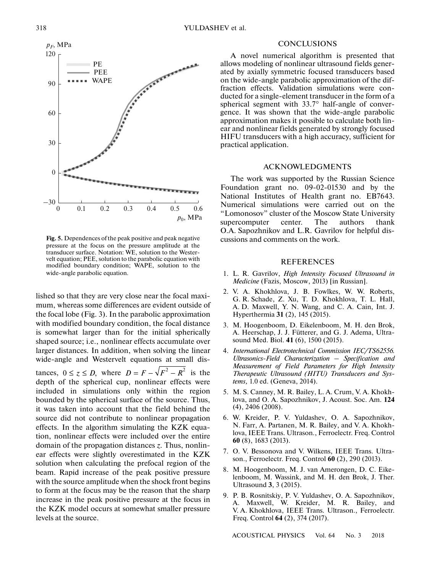

**Fig. 5.** Dependences of the peak positive and peak negative pressure at the focus on the pressure amplitude at the transducer surface. Notation: WE, solution to the Westervelt equation; PEE, solution to the parabolic equation with modified boundary condition; WAPE, solution to the wide-angle parabolic equation.

lished so that they are very close near the focal maximum, whereas some differences are evident outside of the focal lobe (Fig. 3). In the parabolic approximation with modified boundary condition, the focal distance is somewhat larger than for the initial spherically shaped source; i.e., nonlinear effects accumulate over larger distances. In addition, when solving the linear wide-angle and Westervelt equations at small distances,  $0 \le z \le D$ , where  $D = F - \sqrt{F^2 - R^2}$  is the depth of the spherical cup, nonlinear effects were included in simulations only within the region bounded by the spherical surface of the source. Thus, it was taken into account that the field behind the source did not contribute to nonlinear propagation effects. In the algorithm simulating the KZK equation, nonlinear effects were included over the entire domain of the propagation distances *z*. Thus, nonlinear effects were slightly overestimated in the KZK solution when calculating the prefocal region of the beam. Rapid increase of the peak positive pressure with the source amplitude when the shock front begins to form at the focus may be the reason that the sharp increase in the peak positive pressure at the focus in the KZK model occurs at somewhat smaller pressure levels at the source.

# **CONCLUSIONS**

A novel numerical algorithm is presented that allows modeling of nonlinear ultrasound fields generated by axially symmetric focused transducers based on the wide-angle parabolic approximation of the diffraction effects. Validation simulations were conducted for a single-element transducer in the form of a spherical segment with 33.7° half-angle of convergence. It was shown that the wide-angle parabolic approximation makes it possible to calculate both linear and nonlinear fields generated by strongly focused HIFU transducers with a high accuracy, sufficient for practical application.

# ACKNOWLEDGMENTS

The work was supported by the Russian Science Foundation grant no. 09-02-01530 and by the National Institutes of Health grant no. EB7643. Numerical simulations were carried out on the "Lomonosov" cluster of the Moscow State University supercomputer center. The authors thank O.A. Sapozhnikov and L.R. Gavrilov for helpful discussions and comments on the work.

# REFERENCES

- 1. L. R. Gavrilov, *High Intensity Focused Ultrasound in Medicine* (Fazis, Moscow, 2013) [in Russian].
- 2. V. A. Khokhlova, J. B. Fowlkes, W. W. Roberts, G. R. Schade, Z. Xu, T. D. Khokhlova, T. L. Hall, A. D. Maxwell, Y. N. Wang, and C. A. Cain, Int. J. Hyperthermia **31** (2), 145 (2015).
- 3. M. Hoogenboom, D. Eikelenboom, M. H. den Brok, A. Heerschap, J. J. Fütterer, and G. J. Adema, Ultrasound Med. Biol. **41** (6), 1500 (2015).
- 4. *International Electrotechnical Commission IEC/TS62556. Ultrasonics-Field Characterization – Specification and Measurement of Field Parameters for High Intensity Therapeutic Ultrasound (HITU) Transducers and Systems,* 1.0 ed. (Geneva, 2014).
- 5. M. S. Canney, M. R. Bailey, L. A. Crum, V. A. Khokhlova, and O. A. Sapozhnikov, J. Acoust. Soc. Am. **124** (4), 2406 (2008).
- 6. W. Kreider, P. V. Yuldashev, O. A. Sapozhnikov, N. Farr, A. Partanen, M. R. Bailey, and V. A. Khokhlova, IEEE Trans. Ultrason., Ferroelectr. Freq. Control **60** (8), 1683 (2013).
- 7. O. V. Bessonova and V. Wilkens, IEEE Trans. Ultrason., Ferroelectr. Freq. Control **60** (2), 290 (2013).
- 8. M. Hoogenboom, M. J. van Amerongen, D. C. Eikelenboom, M. Wassink, and M. H. den Brok, J. Ther. Ultrasound **3**, 3 (2015).
- 9. P. B. Rosnitskiy, P. V. Yuldashev, O. A. Sapozhnikov, A. Maxwell, W. Kreider, M. R. Bailey, and V. A. Khokhlova, IEEE Trans. Ultrason., Ferroelectr. Freq. Control **64** (2), 374 (2017).

ACOUSTICAL PHYSICS Vol. 64 No. 3 2018